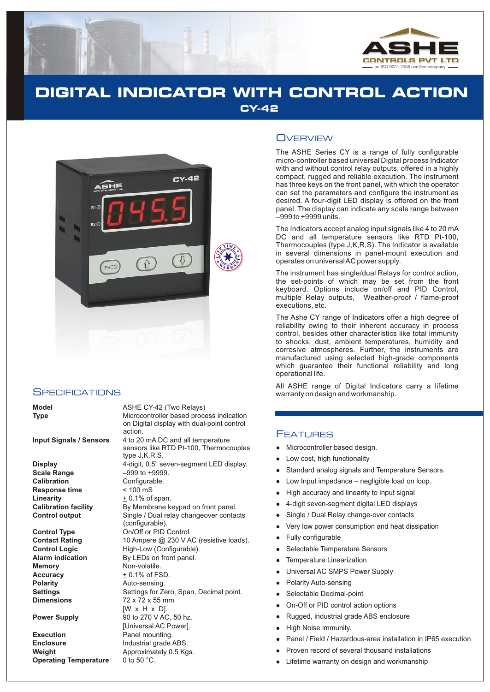

# **DIGITAL INDICATOR WITH CONTROL ACTION CY-42**



### **SPECIFICATIONS**

**Model** ASHE CY-42 (Two Relays) **Type** Microcontroller based process indication on Digital display with dual-point control action. **Input Signals / Sensors** 4 to 20 mA DC and all temperature sensors like RTD Pt-100, Thermocouples type J,K,R,S. **Display** 4-digit, 0.5" seven-segment LED display. **Scale Range** –999 to +9999. **Calibration** Configurable. **Response time** < 100 mS **Linearity**  $+0.1\%$  of span. **Calibration facility** By Membrane keypad on front panel. **Control output** Single / Dual relay changeover contacts (configurable). **Control Type Control Control.**<br> **Contact Rating Control Contact Rating** 10 Ampere @ 230 V A 10 Ampere @ 230 V AC (resistive loads). **Control Logic** High-Low (Configurable). **Alarm indication** By LEDs on front panel. **Memory** Non-volatile. Accuracy  $+0.1\%$  of FSD. **Polarity Auto-sensing. Settings** Settings for Zero, Span, Decimal point. **Dimensions** 72 x 72 x 55 mm [W x H x D]. **Power Supply** 90 to 270 V AC, 50 hz. [Universal AC Power]. **Execution** Panel mounting. **Enclosure Industrial grade ABS. Weight Approximately 0.5 Kgs. Operating Temperature** 0 to 50 °C.

### **OVERVIEW**

The ASHE Series CY is a range of fully configurable micro-controller based universal Digital process Indicator with and without control relay outputs, offered in a highly compact, rugged and reliable execution. The instrument has three keys on the front panel, with which the operator can set the parameters and configure the instrument as desired. A four-digit LED display is offered on the front panel. The display can indicate any scale range between –999 to +9999 units.

The Indicators accept analog input signals like 4 to 20 mA DC and all temperature sensors like RTD Pt-100, Thermocouples (type J,K,R,S). The Indicator is available in several dimensions in panel-mount execution and operates on universal AC power supply.

The instrument has single/dual Relays for control action, the set-points of which may be set from the front keyboard. Options include on/off and PID Control, multiple Relay outputs, Weather-proof / flame-proof executions, etc.

The Ashe CY range of Indicators offer a high degree of reliability owing to their inherent accuracy in process control, besides other characteristics like total immunity to shocks, dust, ambient temperatures, humidity and corrosive atmospheres. Further, the instruments are manufactured using selected high-grade components which guarantee their functional reliability and long operational life.

All ASHE range of Digital Indicators carry a lifetime warranty on design and workmanship.

### FEATURES

- Microcontroller based design.
- Low cost, high functionality
- llllow<br>
llow<br>
llullslever High<br>
llull Sele<br>
llull Sele<br>
llow<br>
llow<br>
llow<br>
llow<br>
ligh<br>
ligh<br>
ligh<br>
ligh<br>
ligh<br>
ligh<br>
ligh<br>
ligh<br>
ligh<br>
ligh<br>
ligh<br>
ligh<br>
ligh<br>
ligh<br>
ligh<br>
ligh<br>
ligh<br>
ligh<br>
ligh<br>
ligh<br>
ligh<br>
ligh<br>
ligh<br>
ligh Standard analog signals and Temperature Sensors.
- Low Input impedance negligible load on loop.
- High accuracy and linearity to input signal  $\bullet$
- 4-digit seven-segment digital LED displays  $\bullet$
- Single / Dual Relay change-over contacts
- Very low power consumption and heat dissipation
- Fully configurable
- Selectable Temperature Sensors
- Temperature Linearization
- Universal AC SMPS Power Supply
- Polarity Auto-sensing  $\bullet$
- Selectable Decimal-point
- On-Off or PID control action options  $\bullet$
- Rugged, industrial grade ABS enclosure
- High Noise immunity.
- Panel / Field / Hazardous-area installation in IP65 execution
- Proven record of several thousand installations
- Lifetime warranty on design and workmanship